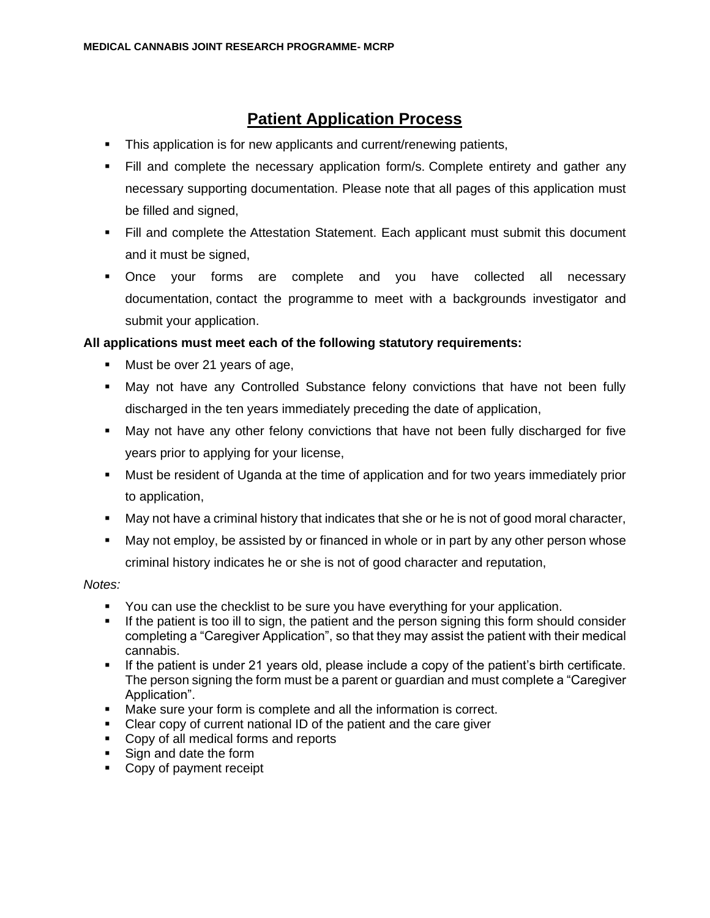# **Patient Application Process**

- This application is for new applicants and current/renewing patients,
- **EXECT Fill and complete the necessary application form/s. Complete entirety and gather any** necessary supporting documentation. Please note that all pages of this application must be filled and signed,
- Fill and complete the Attestation Statement. Each applicant must submit this document and it must be signed,
- Once your forms are complete and you have collected all necessary documentation, contact the programme to meet with a backgrounds investigator and submit your application.

### **All applications must meet each of the following statutory requirements:**

- Must be over 21 years of age,
- **■** May not have any Controlled Substance felony convictions that have not been fully discharged in the ten years immediately preceding the date of application,
- May not have any other felony convictions that have not been fully discharged for five years prior to applying for your license,
- Must be resident of Uganda at the time of application and for two years immediately prior to application,
- **■** May not have a criminal history that indicates that she or he is not of good moral character,
- May not employ, be assisted by or financed in whole or in part by any other person whose criminal history indicates he or she is not of good character and reputation,

*Notes:*

- You can use the checklist to be sure you have everything for your application.
- **.** If the patient is too ill to sign, the patient and the person signing this form should consider completing a "Caregiver Application", so that they may assist the patient with their medical cannabis.
- If the patient is under 21 years old, please include a copy of the patient's birth certificate. The person signing the form must be a parent or guardian and must complete a "Caregiver Application".
- Make sure your form is complete and all the information is correct.
- Clear copy of current national ID of the patient and the care giver
- Copy of all medical forms and reports
- Sign and date the form
- Copy of payment receipt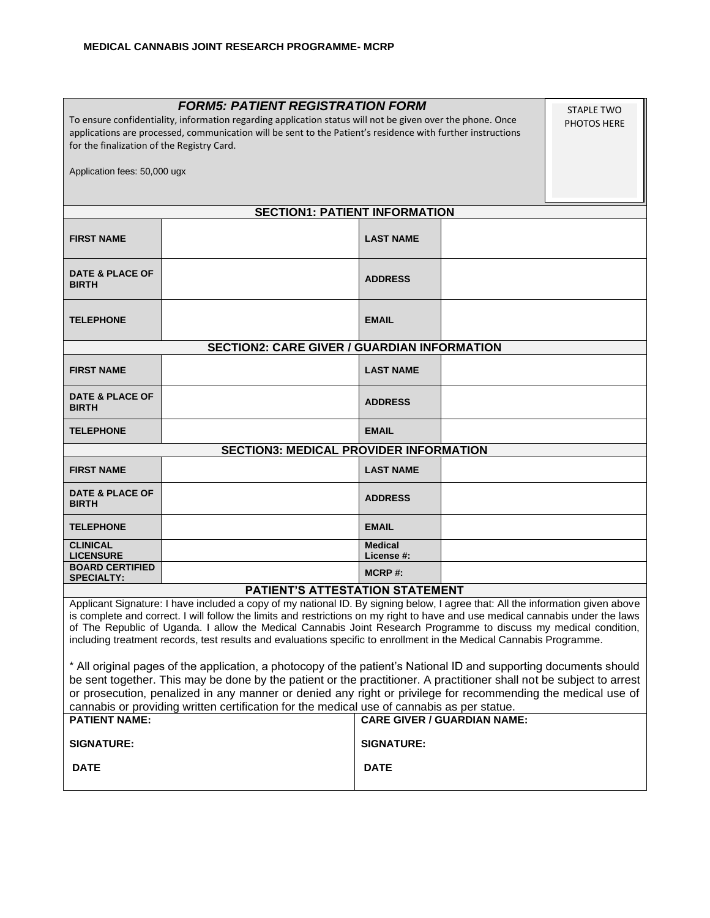| <b>FORM5: PATIENT REGISTRATION FORM</b><br><b>STAPLE TWO</b><br>To ensure confidentiality, information regarding application status will not be given over the phone. Once<br><b>PHOTOS HERE</b><br>applications are processed, communication will be sent to the Patient's residence with further instructions<br>for the finalization of the Registry Card.                                                                                                                                                |                                        |                                    |  |  |
|--------------------------------------------------------------------------------------------------------------------------------------------------------------------------------------------------------------------------------------------------------------------------------------------------------------------------------------------------------------------------------------------------------------------------------------------------------------------------------------------------------------|----------------------------------------|------------------------------------|--|--|
| Application fees: 50,000 ugx                                                                                                                                                                                                                                                                                                                                                                                                                                                                                 |                                        |                                    |  |  |
|                                                                                                                                                                                                                                                                                                                                                                                                                                                                                                              | <b>SECTION1: PATIENT INFORMATION</b>   |                                    |  |  |
|                                                                                                                                                                                                                                                                                                                                                                                                                                                                                                              |                                        |                                    |  |  |
| <b>FIRST NAME</b>                                                                                                                                                                                                                                                                                                                                                                                                                                                                                            |                                        | <b>LAST NAME</b>                   |  |  |
| <b>DATE &amp; PLACE OF</b><br><b>BIRTH</b>                                                                                                                                                                                                                                                                                                                                                                                                                                                                   |                                        | <b>ADDRESS</b>                     |  |  |
| <b>TELEPHONE</b>                                                                                                                                                                                                                                                                                                                                                                                                                                                                                             |                                        | <b>EMAIL</b>                       |  |  |
| <b>SECTION2: CARE GIVER / GUARDIAN INFORMATION</b>                                                                                                                                                                                                                                                                                                                                                                                                                                                           |                                        |                                    |  |  |
| <b>FIRST NAME</b>                                                                                                                                                                                                                                                                                                                                                                                                                                                                                            |                                        | <b>LAST NAME</b>                   |  |  |
| <b>DATE &amp; PLACE OF</b><br><b>BIRTH</b>                                                                                                                                                                                                                                                                                                                                                                                                                                                                   |                                        | <b>ADDRESS</b>                     |  |  |
| <b>TELEPHONE</b>                                                                                                                                                                                                                                                                                                                                                                                                                                                                                             |                                        | <b>EMAIL</b>                       |  |  |
| <b>SECTION3: MEDICAL PROVIDER INFORMATION</b>                                                                                                                                                                                                                                                                                                                                                                                                                                                                |                                        |                                    |  |  |
| <b>FIRST NAME</b>                                                                                                                                                                                                                                                                                                                                                                                                                                                                                            |                                        | <b>LAST NAME</b>                   |  |  |
| <b>DATE &amp; PLACE OF</b><br><b>BIRTH</b>                                                                                                                                                                                                                                                                                                                                                                                                                                                                   |                                        | <b>ADDRESS</b>                     |  |  |
| <b>TELEPHONE</b>                                                                                                                                                                                                                                                                                                                                                                                                                                                                                             |                                        | <b>EMAIL</b>                       |  |  |
| <b>CLINICAL</b><br><b>LICENSURE</b>                                                                                                                                                                                                                                                                                                                                                                                                                                                                          |                                        | <b>Medical</b><br>License #:       |  |  |
| <b>BOARD CERTIFIED</b><br><b>SPECIALTY:</b>                                                                                                                                                                                                                                                                                                                                                                                                                                                                  |                                        | $MCRP$ #:                          |  |  |
|                                                                                                                                                                                                                                                                                                                                                                                                                                                                                                              | <b>PATIENT'S ATTESTATION STATEMENT</b> |                                    |  |  |
| Applicant Signature: I have included a copy of my national ID. By signing below, I agree that: All the information given above<br>is complete and correct. I will follow the limits and restrictions on my right to have and use medical cannabis under the laws<br>of The Republic of Uganda. I allow the Medical Cannabis Joint Research Programme to discuss my medical condition,<br>including treatment records, test results and evaluations specific to enrollment in the Medical Cannabis Programme. |                                        |                                    |  |  |
| * All original pages of the application, a photocopy of the patient's National ID and supporting documents should<br>be sent together. This may be done by the patient or the practitioner. A practitioner shall not be subject to arrest<br>or prosecution, penalized in any manner or denied any right or privilege for recommending the medical use of<br>cannabis or providing written certification for the medical use of cannabis as per statue.                                                      |                                        |                                    |  |  |
| <b>PATIENT NAME:</b>                                                                                                                                                                                                                                                                                                                                                                                                                                                                                         |                                        | <b>CARE GIVER / GUARDIAN NAME:</b> |  |  |
| <b>SIGNATURE:</b>                                                                                                                                                                                                                                                                                                                                                                                                                                                                                            |                                        | <b>SIGNATURE:</b>                  |  |  |
| <b>DATE</b>                                                                                                                                                                                                                                                                                                                                                                                                                                                                                                  |                                        | <b>DATE</b>                        |  |  |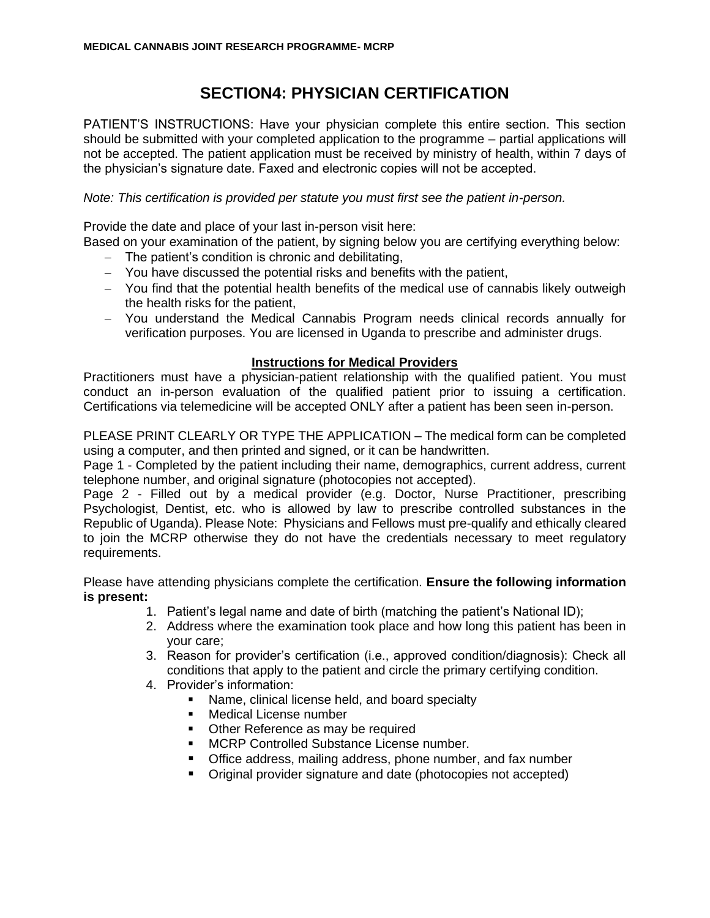# **SECTION4: PHYSICIAN CERTIFICATION**

PATIENT'S INSTRUCTIONS: Have your physician complete this entire section. This section should be submitted with your completed application to the programme – partial applications will not be accepted. The patient application must be received by ministry of health, within 7 days of the physician's signature date. Faxed and electronic copies will not be accepted.

### *Note: This certification is provided per statute you must first see the patient in-person.*

Provide the date and place of your last in-person visit here:

Based on your examination of the patient, by signing below you are certifying everything below:

- − The patient's condition is chronic and debilitating,
- − You have discussed the potential risks and benefits with the patient,
- − You find that the potential health benefits of the medical use of cannabis likely outweigh the health risks for the patient,
- − You understand the Medical Cannabis Program needs clinical records annually for verification purposes. You are licensed in Uganda to prescribe and administer drugs.

### **Instructions for Medical Providers**

Practitioners must have a physician-patient relationship with the qualified patient. You must conduct an in-person evaluation of the qualified patient prior to issuing a certification. Certifications via telemedicine will be accepted ONLY after a patient has been seen in-person.

PLEASE PRINT CLEARLY OR TYPE THE APPLICATION – The medical form can be completed using a computer, and then printed and signed, or it can be handwritten.

Page 1 - Completed by the patient including their name, demographics, current address, current telephone number, and original signature (photocopies not accepted).

Page 2 - Filled out by a medical provider (e.g. Doctor, Nurse Practitioner, prescribing Psychologist, Dentist, etc. who is allowed by law to prescribe controlled substances in the Republic of Uganda). Please Note: Physicians and Fellows must pre-qualify and ethically cleared to join the MCRP otherwise they do not have the credentials necessary to meet regulatory requirements.

Please have attending physicians complete the certification. **Ensure the following information is present:**

- 1. Patient's legal name and date of birth (matching the patient's National ID);
- 2. Address where the examination took place and how long this patient has been in your care;
- 3. Reason for provider's certification (i.e., approved condition/diagnosis): Check all conditions that apply to the patient and circle the primary certifying condition.
- 4. Provider's information:
	- Name, clinical license held, and board specialty
	- Medical License number
	- Other Reference as may be required
	- MCRP Controlled Substance License number.
	- Office address, mailing address, phone number, and fax number
	- Original provider signature and date (photocopies not accepted)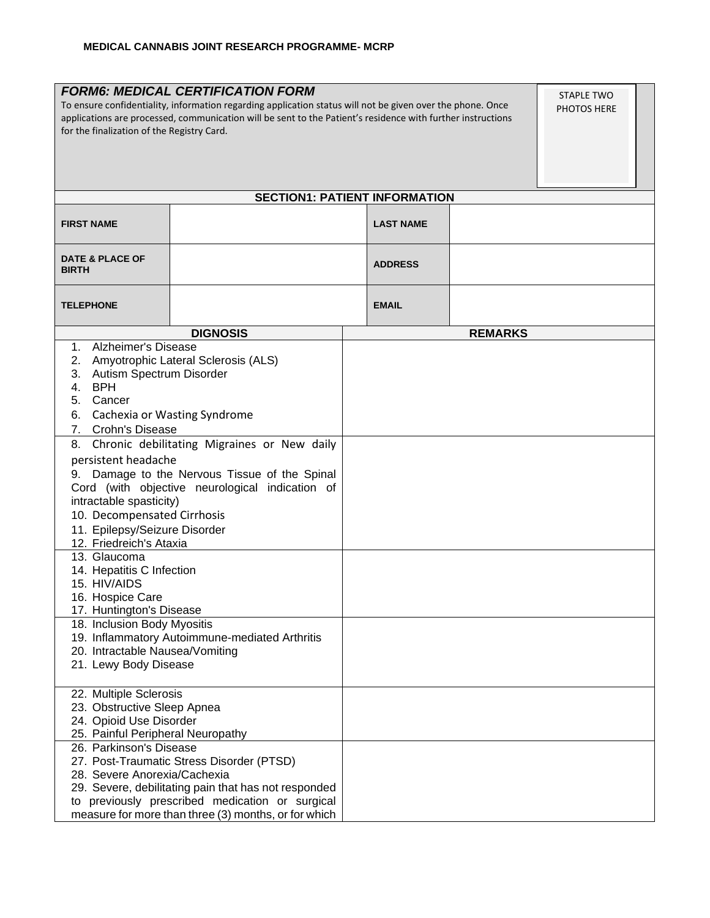| <b>FORM6: MEDICAL CERTIFICATION FORM</b><br>STAPLE TWO<br>To ensure confidentiality, information regarding application status will not be given over the phone. Once<br>PHOTOS HERE<br>applications are processed, communication will be sent to the Patient's residence with further instructions<br>for the finalization of the Registry Card.                                                                                                                                                                                                                                                                                                                                                                                                                  |                 |                  |                |  |  |
|-------------------------------------------------------------------------------------------------------------------------------------------------------------------------------------------------------------------------------------------------------------------------------------------------------------------------------------------------------------------------------------------------------------------------------------------------------------------------------------------------------------------------------------------------------------------------------------------------------------------------------------------------------------------------------------------------------------------------------------------------------------------|-----------------|------------------|----------------|--|--|
| <b>SECTION1: PATIENT INFORMATION</b>                                                                                                                                                                                                                                                                                                                                                                                                                                                                                                                                                                                                                                                                                                                              |                 |                  |                |  |  |
| <b>FIRST NAME</b>                                                                                                                                                                                                                                                                                                                                                                                                                                                                                                                                                                                                                                                                                                                                                 |                 | <b>LAST NAME</b> |                |  |  |
| <b>DATE &amp; PLACE OF</b><br><b>BIRTH</b>                                                                                                                                                                                                                                                                                                                                                                                                                                                                                                                                                                                                                                                                                                                        |                 | <b>ADDRESS</b>   |                |  |  |
| <b>TELEPHONE</b>                                                                                                                                                                                                                                                                                                                                                                                                                                                                                                                                                                                                                                                                                                                                                  |                 | <b>EMAIL</b>     |                |  |  |
|                                                                                                                                                                                                                                                                                                                                                                                                                                                                                                                                                                                                                                                                                                                                                                   | <b>DIGNOSIS</b> |                  | <b>REMARKS</b> |  |  |
| Alzheimer's Disease<br>1.<br>Amyotrophic Lateral Sclerosis (ALS)<br>2.<br>3. Autism Spectrum Disorder<br>BPH<br>4.<br>5.<br>Cancer<br>Cachexia or Wasting Syndrome<br>6.<br>7.<br>Crohn's Disease<br>Chronic debilitating Migraines or New daily<br>8.<br>persistent headache<br>9. Damage to the Nervous Tissue of the Spinal<br>Cord (with objective neurological indication of<br>intractable spasticity)<br>10. Decompensated Cirrhosis<br>11. Epilepsy/Seizure Disorder<br>12. Friedreich's Ataxia<br>13. Glaucoma<br>14. Hepatitis C Infection<br>15. HIV/AIDS<br>16. Hospice Care<br>17. Huntington's Disease<br>18. Inclusion Body Myositis<br>19. Inflammatory Autoimmune-mediated Arthritis<br>20. Intractable Nausea/Vomiting<br>21. Lewy Body Disease |                 |                  |                |  |  |
| 22. Multiple Sclerosis<br>23. Obstructive Sleep Apnea<br>24. Opioid Use Disorder<br>25. Painful Peripheral Neuropathy<br>26. Parkinson's Disease<br>27. Post-Traumatic Stress Disorder (PTSD)<br>28. Severe Anorexia/Cachexia<br>29. Severe, debilitating pain that has not responded<br>to previously prescribed medication or surgical<br>measure for more than three (3) months, or for which                                                                                                                                                                                                                                                                                                                                                                  |                 |                  |                |  |  |